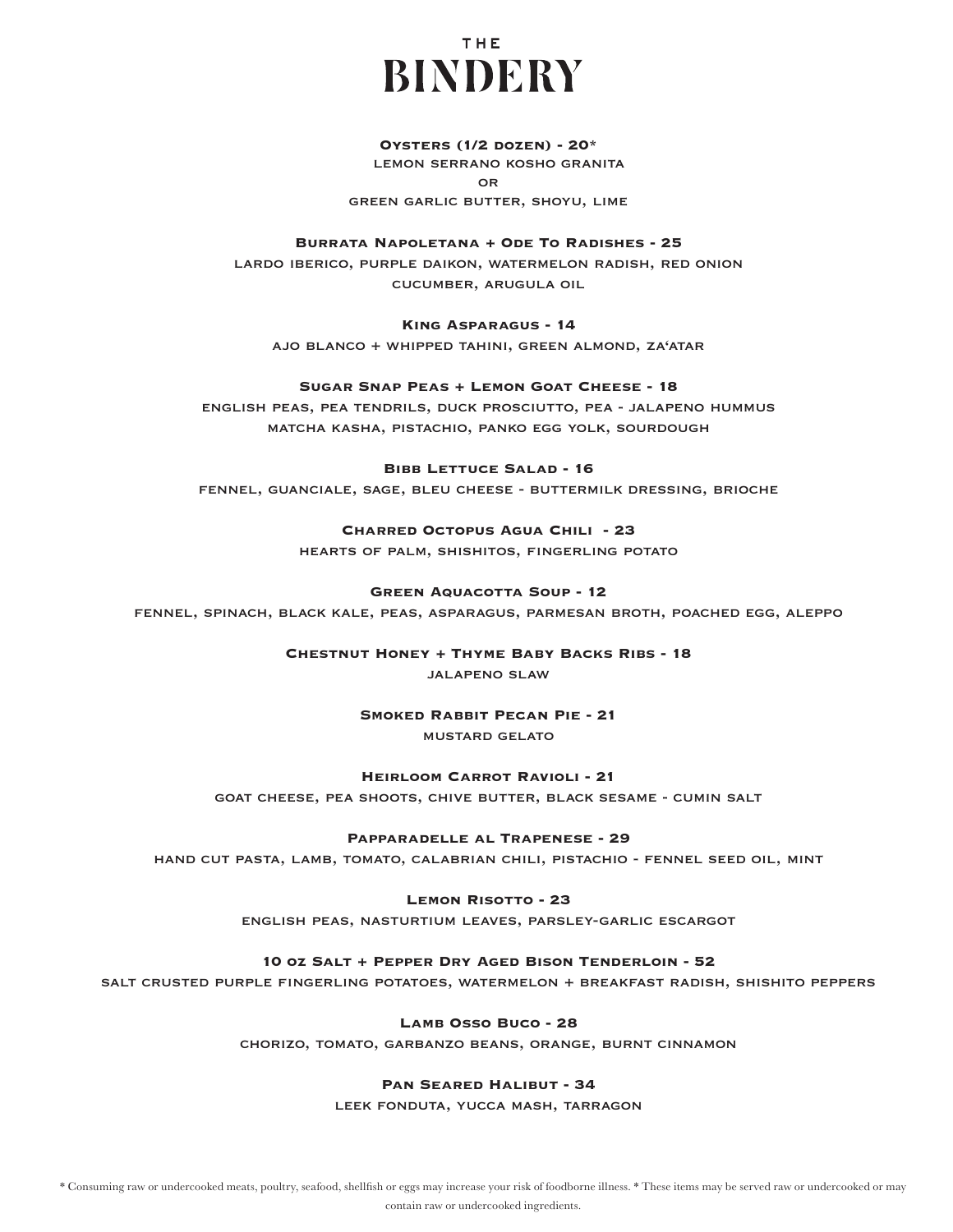**THE BINDERY** 

#### **Oysters (1/2 dozen) - 20\***

 lemon serrano kosho granita or green garlic butter, shoyu, lime

#### **Burrata Napoletana + Ode To Radishes - 25**

lardo iberico, purple daikon, watermelon radish, red onion cucumber, arugula oil

## **King Asparagus - 14**

ajo blanco + whipped tahini, green almond, za'atar

#### **Sugar Snap Peas + Lemon Goat Cheese - 18**

english peas, pea tendrils, duck prosciutto, pea - jalapeno hummus matcha kasha, pistachio, panko egg yolk, sourdough

## **Bibb Lettuce Salad - 16**

fennel, guanciale, sage, bleu cheese - buttermilk dressing, brioche

## **Charred Octopus Agua Chili - 23**

hearts of palm, shishitos, fingerling potato

#### **GREEN AQUACOTTA SOUP - 12**

fennel, spinach, black kale, peas, asparagus, parmesan broth, poached egg, aleppo

**Chestnut Honey + Thyme Baby Backs Ribs - 18**

jalapeno slaw

**Smoked Rabbit Pecan Pie - 21** mustard gelato

#### **Heirloom Carrot Ravioli - 21**

goat cheese, pea shoots, chive butter, black sesame - cumin salt

## **Papparadelle al Trapenese - 29**

hand cut pasta, lamb, tomato, calabrian chili, pistachio - fennel seed oil, mint

#### **Lemon Risotto - 23**

english peas, nasturtium leaves, parsley-garlic escargot

#### **10 oz Salt + Pepper Dry Aged Bison Tenderloin - 52**

salt crusted purple fingerling potatoes, watermelon + breakfast radish, shishito peppers

#### **Lamb Osso Buco - 28**

chorizo, tomato, garbanzo beans, orange, burnt cinnamon

#### **Pan Seared Halibut - 34**

leek fonduta, yucca mash, tarragon

\* Consuming raw or undercooked meats, poultry, seafood, shellfish or eggs may increase your risk of foodborne illness. \* These items may be served raw or undercooked or may contain raw or undercooked ingredients.